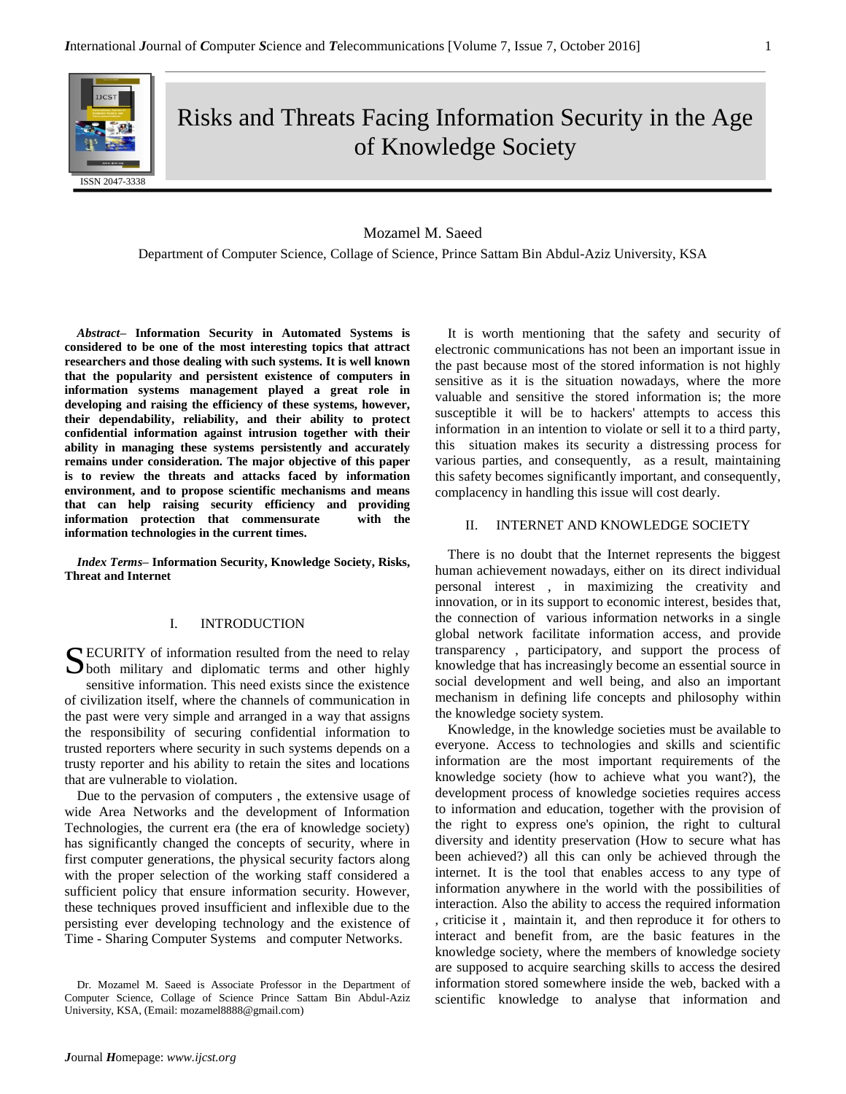

Risks and Threats Facing Information Security in the Age of Knowledge Society

### Mozamel M. Saeed

Department of Computer Science, Collage of Science, Prince Sattam Bin Abdul-Aziz University, KSA

*Abstract–* **Information Security in Automated Systems is considered to be one of the most interesting topics that attract researchers and those dealing with such systems. It is well known that the popularity and persistent existence of computers in information systems management played a great role in developing and raising the efficiency of these systems, however, their dependability, reliability, and their ability to protect confidential information against intrusion together with their ability in managing these systems persistently and accurately remains under consideration. The major objective of this paper is to review the threats and attacks faced by information environment, and to propose scientific mechanisms and means that can help raising security efficiency and providing information protection that commensurate with the information technologies in the current times.** 

*Index Terms–* **Information Security, Knowledge Society, Risks, Threat and Internet**

# I. INTRODUCTION

SECURITY of information resulted from the need to relay both military and diplomatic terms and other highly both military and diplomatic terms and other highly sensitive information. This need exists since the existence of civilization itself, where the channels of communication in the past were very simple and arranged in a way that assigns the responsibility of securing confidential information to trusted reporters where security in such systems depends on a trusty reporter and his ability to retain the sites and locations that are vulnerable to violation.

Due to the pervasion of computers , the extensive usage of wide Area Networks and the development of Information Technologies, the current era (the era of knowledge society) has significantly changed the concepts of security, where in first computer generations, the physical security factors along with the proper selection of the working staff considered a sufficient policy that ensure information security. However, these techniques proved insufficient and inflexible due to the persisting ever developing technology and the existence of Time - Sharing Computer Systems and computer Networks.

Dr. Mozamel M. Saeed is Associate Professor in the Department of Computer Science, Collage of Science Prince Sattam Bin Abdul-Aziz University, KSA, (Email: mozamel8888@gmail.com)

It is worth mentioning that the safety and security of electronic communications has not been an important issue in the past because most of the stored information is not highly sensitive as it is the situation nowadays, where the more valuable and sensitive the stored information is; the more susceptible it will be to hackers' attempts to access this information in an intention to violate or sell it to a third party, this situation makes its security a distressing process for various parties, and consequently, as a result, maintaining this safety becomes significantly important, and consequently, complacency in handling this issue will cost dearly.

#### II. INTERNET AND KNOWLEDGE SOCIETY

There is no doubt that the Internet represents the biggest human achievement nowadays, either on its direct individual personal interest , in maximizing the creativity and innovation, or in its support to economic interest, besides that, the connection of various information networks in a single global network facilitate information access, and provide transparency , participatory, and support the process of knowledge that has increasingly become an essential source in social development and well being, and also an important mechanism in defining life concepts and philosophy within the knowledge society system.

Knowledge, in the knowledge societies must be available to everyone. Access to technologies and skills and scientific information are the most important requirements of the knowledge society (how to achieve what you want?), the development process of knowledge societies requires access to information and education, together with the provision of the right to express one's opinion, the right to cultural diversity and identity preservation (How to secure what has been achieved?) all this can only be achieved through the internet. It is the tool that enables access to any type of information anywhere in the world with the possibilities of interaction. Also the ability to access the required information , criticise it , maintain it, and then reproduce it for others to interact and benefit from, are the basic features in the knowledge society, where the members of knowledge society are supposed to acquire searching skills to access the desired information stored somewhere inside the web, backed with a scientific knowledge to analyse that information and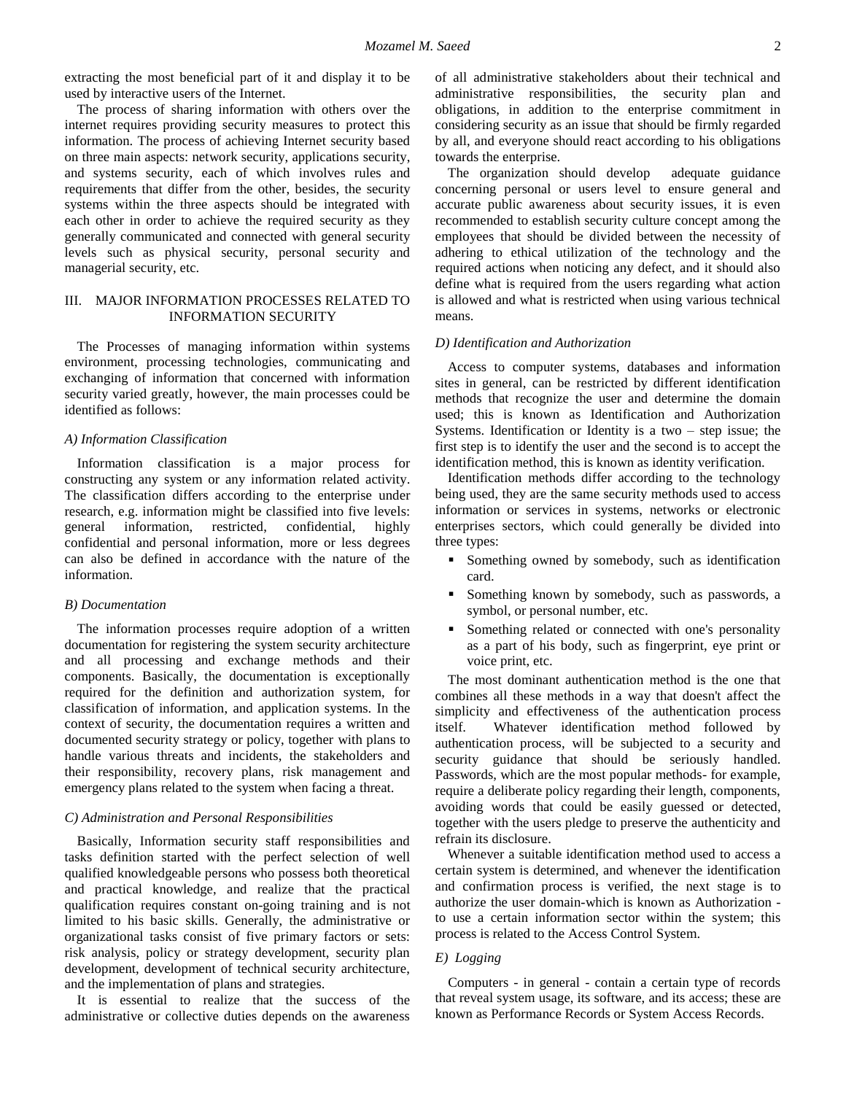extracting the most beneficial part of it and display it to be used by interactive users of the Internet.

The process of sharing information with others over the internet requires providing security measures to protect this information. The process of achieving Internet security based on three main aspects: network security, applications security, and systems security, each of which involves rules and requirements that differ from the other, besides, the security systems within the three aspects should be integrated with each other in order to achieve the required security as they generally communicated and connected with general security levels such as physical security, personal security and managerial security, etc.

## III. MAJOR INFORMATION PROCESSES RELATED TO INFORMATION SECURITY

The Processes of managing information within systems environment, processing technologies, communicating and exchanging of information that concerned with information security varied greatly, however, the main processes could be identified as follows:

#### *A) Information Classification*

Information classification is a major process for constructing any system or any information related activity. The classification differs according to the enterprise under research, e.g. information might be classified into five levels: general information, restricted, confidential, highly confidential and personal information, more or less degrees can also be defined in accordance with the nature of the information.

#### *B) Documentation*

The information processes require adoption of a written documentation for registering the system security architecture and all processing and exchange methods and their components. Basically, the documentation is exceptionally required for the definition and authorization system, for classification of information, and application systems. In the context of security, the documentation requires a written and documented security strategy or policy, together with plans to handle various threats and incidents, the stakeholders and their responsibility, recovery plans, risk management and emergency plans related to the system when facing a threat.

### *C) Administration and Personal Responsibilities*

Basically, Information security staff responsibilities and tasks definition started with the perfect selection of well qualified knowledgeable persons who possess both theoretical and practical knowledge, and realize that the practical qualification requires constant on-going training and is not limited to his basic skills. Generally, the administrative or organizational tasks consist of five primary factors or sets: risk analysis, policy or strategy development, security plan development, development of technical security architecture, and the implementation of plans and strategies.

It is essential to realize that the success of the administrative or collective duties depends on the awareness

of all administrative stakeholders about their technical and administrative responsibilities, the security plan and obligations, in addition to the enterprise commitment in considering security as an issue that should be firmly regarded by all, and everyone should react according to his obligations towards the enterprise.

The organization should develop adequate guidance concerning personal or users level to ensure general and accurate public awareness about security issues, it is even recommended to establish security culture concept among the employees that should be divided between the necessity of adhering to ethical utilization of the technology and the required actions when noticing any defect, and it should also define what is required from the users regarding what action is allowed and what is restricted when using various technical means.

#### *D) Identification and Authorization*

Access to computer systems, databases and information sites in general, can be restricted by different identification methods that recognize the user and determine the domain used; this is known as Identification and Authorization Systems. Identification or Identity is a two – step issue; the first step is to identify the user and the second is to accept the identification method, this is known as identity verification.

Identification methods differ according to the technology being used, they are the same security methods used to access information or services in systems, networks or electronic enterprises sectors, which could generally be divided into three types:

- **Something owned by somebody, such as identification** card.
- Something known by somebody, such as passwords, a symbol, or personal number, etc.
- Something related or connected with one's personality as a part of his body, such as fingerprint, eye print or voice print, etc.

The most dominant authentication method is the one that combines all these methods in a way that doesn't affect the simplicity and effectiveness of the authentication process itself. Whatever identification method followed by authentication process, will be subjected to a security and security guidance that should be seriously handled. Passwords, which are the most popular methods- for example, require a deliberate policy regarding their length, components, avoiding words that could be easily guessed or detected, together with the users pledge to preserve the authenticity and refrain its disclosure.

Whenever a suitable identification method used to access a certain system is determined, and whenever the identification and confirmation process is verified, the next stage is to authorize the user domain-which is known as Authorization to use a certain information sector within the system; this process is related to the Access Control System.

# *E) Logging*

Computers - in general - contain a certain type of records that reveal system usage, its software, and its access; these are known as Performance Records or System Access Records.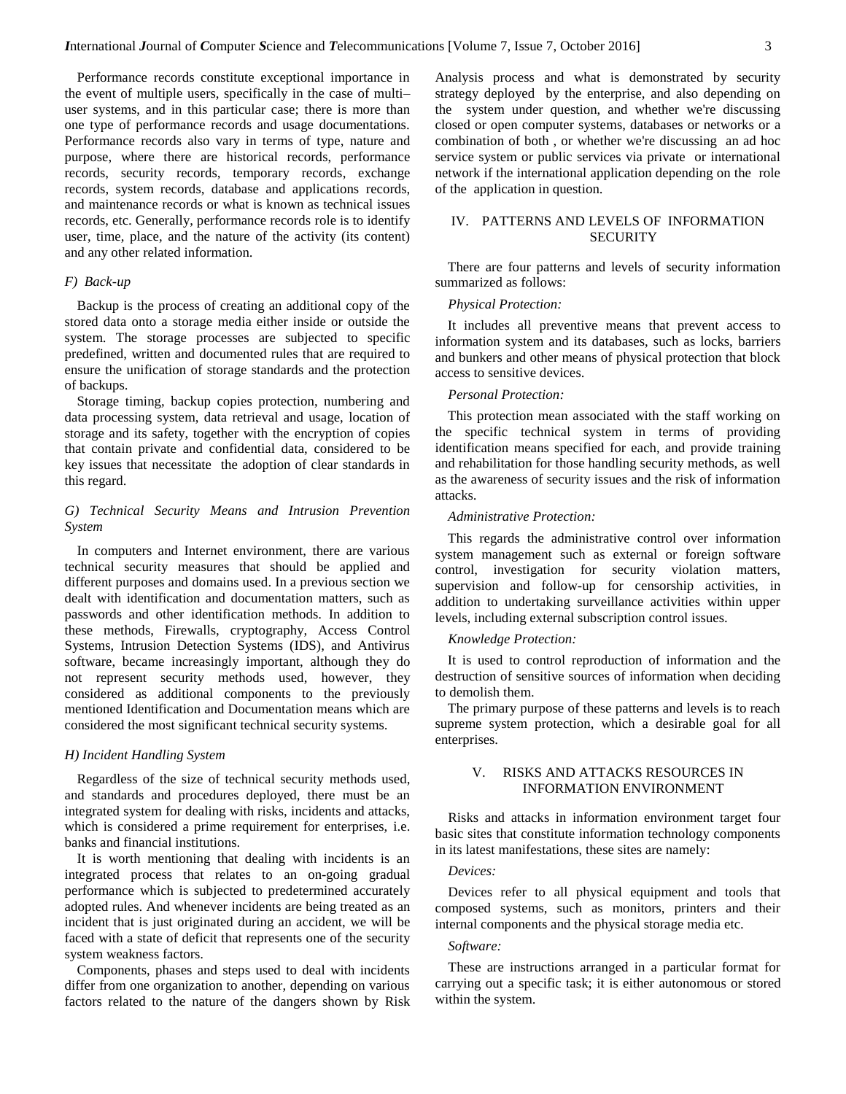Performance records constitute exceptional importance in the event of multiple users, specifically in the case of multi– user systems, and in this particular case; there is more than one type of performance records and usage documentations. Performance records also vary in terms of type, nature and purpose, where there are historical records, performance records, security records, temporary records, exchange records, system records, database and applications records, and maintenance records or what is known as technical issues records, etc. Generally, performance records role is to identify user, time, place, and the nature of the activity (its content) and any other related information.

## *F) Back-up*

Backup is the process of creating an additional copy of the stored data onto a storage media either inside or outside the system. The storage processes are subjected to specific predefined, written and documented rules that are required to ensure the unification of storage standards and the protection of backups.

Storage timing, backup copies protection, numbering and data processing system, data retrieval and usage, location of storage and its safety, together with the encryption of copies that contain private and confidential data, considered to be key issues that necessitate the adoption of clear standards in this regard.

# *G) Technical Security Means and Intrusion Prevention System*

In computers and Internet environment, there are various technical security measures that should be applied and different purposes and domains used. In a previous section we dealt with identification and documentation matters, such as passwords and other identification methods. In addition to these methods, Firewalls, cryptography, Access Control Systems, Intrusion Detection Systems (IDS), and Antivirus software, became increasingly important, although they do not represent security methods used, however, they considered as additional components to the previously mentioned Identification and Documentation means which are considered the most significant technical security systems.

#### *H) Incident Handling System*

Regardless of the size of technical security methods used, and standards and procedures deployed, there must be an integrated system for dealing with risks, incidents and attacks, which is considered a prime requirement for enterprises, i.e. banks and financial institutions.

It is worth mentioning that dealing with incidents is an integrated process that relates to an on-going gradual performance which is subjected to predetermined accurately adopted rules. And whenever incidents are being treated as an incident that is just originated during an accident, we will be faced with a state of deficit that represents one of the security system weakness factors.

Components, phases and steps used to deal with incidents differ from one organization to another, depending on various factors related to the nature of the dangers shown by Risk Analysis process and what is demonstrated by security strategy deployed by the enterprise, and also depending on the system under question, and whether we're discussing closed or open computer systems, databases or networks or a combination of both , or whether we're discussing an ad hoc service system or public services via private or international network if the international application depending on the role of the application in question.

## IV. PATTERNS AND LEVELS OF INFORMATION **SECURITY**

There are four patterns and levels of security information summarized as follows:

## *Physical Protection:*

It includes all preventive means that prevent access to information system and its databases, such as locks, barriers and bunkers and other means of physical protection that block access to sensitive devices.

### *Personal Protection:*

This protection mean associated with the staff working on the specific technical system in terms of providing identification means specified for each, and provide training and rehabilitation for those handling security methods, as well as the awareness of security issues and the risk of information attacks.

#### *Administrative Protection:*

This regards the administrative control over information system management such as external or foreign software control, investigation for security violation matters, supervision and follow-up for censorship activities, in addition to undertaking surveillance activities within upper levels, including external subscription control issues.

## *Knowledge Protection:*

It is used to control reproduction of information and the destruction of sensitive sources of information when deciding to demolish them.

The primary purpose of these patterns and levels is to reach supreme system protection, which a desirable goal for all enterprises.

### V. RISKS AND ATTACKS RESOURCES IN INFORMATION ENVIRONMENT

Risks and attacks in information environment target four basic sites that constitute information technology components in its latest manifestations, these sites are namely:

### *Devices:*

Devices refer to all physical equipment and tools that composed systems, such as monitors, printers and their internal components and the physical storage media etc.

## *Software:*

These are instructions arranged in a particular format for carrying out a specific task; it is either autonomous or stored within the system.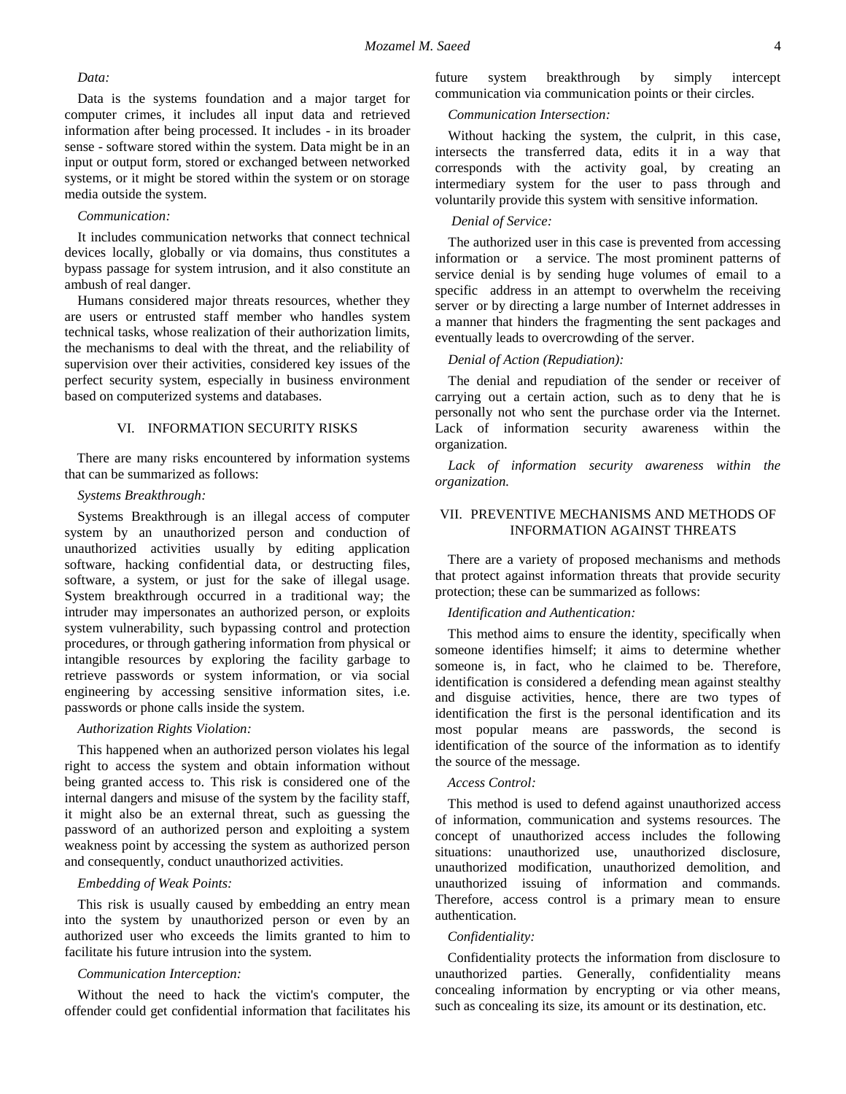### *Data:*

Data is the systems foundation and a major target for computer crimes, it includes all input data and retrieved information after being processed. It includes - in its broader sense - software stored within the system. Data might be in an input or output form, stored or exchanged between networked systems, or it might be stored within the system or on storage media outside the system.

### *Communication:*

It includes communication networks that connect technical devices locally, globally or via domains, thus constitutes a bypass passage for system intrusion, and it also constitute an ambush of real danger.

Humans considered major threats resources, whether they are users or entrusted staff member who handles system technical tasks, whose realization of their authorization limits, the mechanisms to deal with the threat, and the reliability of supervision over their activities, considered key issues of the perfect security system, especially in business environment based on computerized systems and databases.

### VI. INFORMATION SECURITY RISKS

There are many risks encountered by information systems that can be summarized as follows:

### *Systems Breakthrough:*

Systems Breakthrough is an illegal access of computer system by an unauthorized person and conduction of unauthorized activities usually by editing application software, hacking confidential data, or destructing files, software, a system, or just for the sake of illegal usage. System breakthrough occurred in a traditional way; the intruder may impersonates an authorized person, or exploits system vulnerability, such bypassing control and protection procedures, or through gathering information from physical or intangible resources by exploring the facility garbage to retrieve passwords or system information, or via social engineering by accessing sensitive information sites, i.e. passwords or phone calls inside the system.

### *Authorization Rights Violation:*

This happened when an authorized person violates his legal right to access the system and obtain information without being granted access to. This risk is considered one of the internal dangers and misuse of the system by the facility staff, it might also be an external threat, such as guessing the password of an authorized person and exploiting a system weakness point by accessing the system as authorized person and consequently, conduct unauthorized activities.

### *Embedding of Weak Points:*

This risk is usually caused by embedding an entry mean into the system by unauthorized person or even by an authorized user who exceeds the limits granted to him to facilitate his future intrusion into the system.

### *Communication Interception:*

Without the need to hack the victim's computer, the offender could get confidential information that facilitates his future system breakthrough by simply intercept communication via communication points or their circles.

#### *Communication Intersection:*

Without hacking the system, the culprit, in this case, intersects the transferred data, edits it in a way that corresponds with the activity goal, by creating an intermediary system for the user to pass through and voluntarily provide this system with sensitive information.

# *Denial of Service:*

The authorized user in this case is prevented from accessing information or a service. The most prominent patterns of service denial is by sending huge volumes of [email](https://en.wikipedia.org/wiki/Email) to a specific address in an attempt to overwhelm the receiving [server](https://en.wikipedia.org/wiki/Server_(computing)) or by directing a large number of Internet addresses in a manner that hinders the fragmenting the sent packages and eventually leads to overcrowding of the server.

### *Denial of Action (Repudiation):*

The denial and repudiation of the sender or receiver of carrying out a certain action, such as to deny that he is personally not who sent the purchase order via the Internet. Lack of information security awareness within the organization.

*Lack of information security awareness within the organization.*

### VII. PREVENTIVE MECHANISMS AND METHODS OF INFORMATION AGAINST THREATS

There are a variety of proposed mechanisms and methods that protect against information threats that provide security protection; these can be summarized as follows:

### *Identification and Authentication:*

This method aims to ensure the identity, specifically when someone identifies himself; it aims to determine whether someone is, in fact, who he claimed to be. Therefore, identification is considered a defending mean against stealthy and disguise activities, hence, there are two types of identification the first is the personal identification and its most popular means are passwords, the second is identification of the source of the information as to identify the source of the message.

#### *Access Control:*

This method is used to defend against unauthorized access of information, communication and systems resources. The concept of unauthorized access includes the following situations: unauthorized use, unauthorized disclosure, unauthorized modification, unauthorized demolition, and unauthorized issuing of information and commands. Therefore, access control is a primary mean to ensure authentication.

### *Confidentiality:*

Confidentiality protects the information from disclosure to unauthorized parties. Generally, confidentiality means concealing information by encrypting or via other means, such as concealing its size, its amount or its destination, etc.